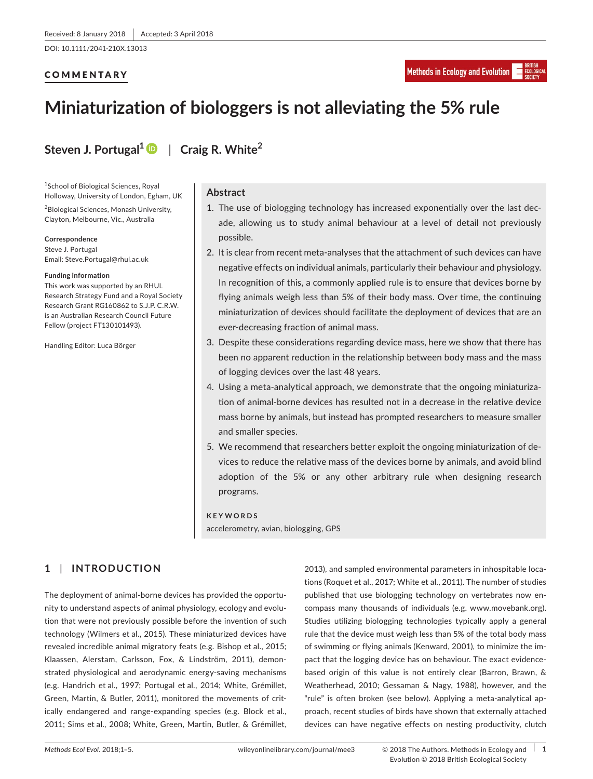DOI: 10.1111/2041-210X.13013

# **COMMENTARY**

# **Miniaturization of biologgers is not alleviating the 5% rule**

**Steven J. Portugal1** | **Craig R. White<sup>2</sup>**

1 School of Biological Sciences, Royal Holloway, University of London, Egham, UK

2 Biological Sciences, Monash University, Clayton, Melbourne, Vic., Australia

**Correspondence**

Steve J. Portugal Email: [Steve.Portugal@rhul.ac.uk](mailto:Steve.Portugal@rhul.ac.uk)

#### **Funding information**

This work was supported by an RHUL Research Strategy Fund and a Royal Society Research Grant RG160862 to S.J.P. C.R.W. is an Australian Research Council Future Fellow (project FT130101493).

Handling Editor: Luca Börger

# **Abstract**

- 1. The use of biologging technology has increased exponentially over the last decade, allowing us to study animal behaviour at a level of detail not previously possible.
- 2. It is clear from recent meta-analyses that the attachment of such devices can have negative effects on individual animals, particularly their behaviour and physiology. In recognition of this, a commonly applied rule is to ensure that devices borne by flying animals weigh less than 5% of their body mass. Over time, the continuing miniaturization of devices should facilitate the deployment of devices that are an ever-decreasing fraction of animal mass.
- 3. Despite these considerations regarding device mass, here we show that there has been no apparent reduction in the relationship between body mass and the mass of logging devices over the last 48 years.
- 4. Using a meta-analytical approach, we demonstrate that the ongoing miniaturization of animal-borne devices has resulted not in a decrease in the relative device mass borne by animals, but instead has prompted researchers to measure smaller and smaller species.
- 5. We recommend that researchers better exploit the ongoing miniaturization of devices to reduce the relative mass of the devices borne by animals, and avoid blind adoption of the 5% or any other arbitrary rule when designing research programs.

#### **KEYWORDS**

accelerometry, avian, biologging, GPS

# **1** | **INTRODUCTION**

The deployment of animal-borne devices has provided the opportunity to understand aspects of animal physiology, ecology and evolution that were not previously possible before the invention of such technology (Wilmers et al., 2015). These miniaturized devices have revealed incredible animal migratory feats (e.g. Bishop et al., 2015; Klaassen, Alerstam, Carlsson, Fox, & Lindström, 2011), demonstrated physiological and aerodynamic energy-saving mechanisms (e.g. Handrich et al., 1997; Portugal et al., 2014; White, Grémillet, Green, Martin, & Butler, 2011), monitored the movements of critically endangered and range-expanding species (e.g. Block et al., 2011; Sims et al., 2008; White, Green, Martin, Butler, & Grémillet,

2013), and sampled environmental parameters in inhospitable locations (Roquet et al., 2017; White et al., 2011). The number of studies published that use biologging technology on vertebrates now encompass many thousands of individuals (e.g. [www.movebank.org\)](http://www.movebank.org). Studies utilizing biologging technologies typically apply a general rule that the device must weigh less than 5% of the total body mass of swimming or flying animals (Kenward, 2001), to minimize the impact that the logging device has on behaviour. The exact evidencebased origin of this value is not entirely clear (Barron, Brawn, & Weatherhead, 2010; Gessaman & Nagy, 1988), however, and the "rule" is often broken (see below). Applying a meta-analytical approach, recent studies of birds have shown that externally attached devices can have negative effects on nesting productivity, clutch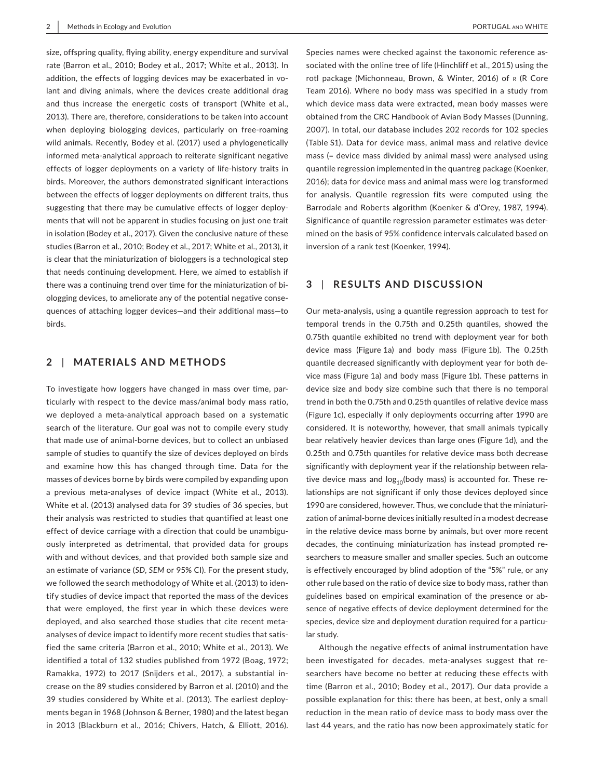size, offspring quality, flying ability, energy expenditure and survival rate (Barron et al., 2010; Bodey et al., 2017; White et al., 2013). In addition, the effects of logging devices may be exacerbated in volant and diving animals, where the devices create additional drag and thus increase the energetic costs of transport (White et al., 2013). There are, therefore, considerations to be taken into account when deploying biologging devices, particularly on free-roaming wild animals. Recently, Bodey et al. (2017) used a phylogenetically informed meta-analytical approach to reiterate significant negative effects of logger deployments on a variety of life-history traits in birds. Moreover, the authors demonstrated significant interactions between the effects of logger deployments on different traits, thus suggesting that there may be cumulative effects of logger deployments that will not be apparent in studies focusing on just one trait in isolation (Bodey et al., 2017). Given the conclusive nature of these studies (Barron et al., 2010; Bodey et al., 2017; White et al., 2013), it is clear that the miniaturization of biologgers is a technological step that needs continuing development. Here, we aimed to establish if there was a continuing trend over time for the miniaturization of biologging devices, to ameliorate any of the potential negative consequences of attaching logger devices—and their additional mass—to birds.

# **2** | **MATERIALS AND METHODS**

To investigate how loggers have changed in mass over time, particularly with respect to the device mass/animal body mass ratio, we deployed a meta-analytical approach based on a systematic search of the literature. Our goal was not to compile every study that made use of animal-borne devices, but to collect an unbiased sample of studies to quantify the size of devices deployed on birds and examine how this has changed through time. Data for the masses of devices borne by birds were compiled by expanding upon a previous meta-analyses of device impact (White et al., 2013). White et al. (2013) analysed data for 39 studies of 36 species, but their analysis was restricted to studies that quantified at least one effect of device carriage with a direction that could be unambiguously interpreted as detrimental, that provided data for groups with and without devices, and that provided both sample size and an estimate of variance (*SD*, *SEM* or 95% CI). For the present study, we followed the search methodology of White et al. (2013) to identify studies of device impact that reported the mass of the devices that were employed, the first year in which these devices were deployed, and also searched those studies that cite recent metaanalyses of device impact to identify more recent studies that satisfied the same criteria (Barron et al., 2010; White et al., 2013). We identified a total of 132 studies published from 1972 (Boag, 1972; Ramakka, 1972) to 2017 (Snijders et al., 2017), a substantial increase on the 89 studies considered by Barron et al. (2010) and the 39 studies considered by White et al. (2013). The earliest deployments began in 1968 (Johnson & Berner, 1980) and the latest began in 2013 (Blackburn et al., 2016; Chivers, Hatch, & Elliott, 2016).

Species names were checked against the taxonomic reference associated with the online tree of life (Hinchliff et al., 2015) using the rotl package (Michonneau, Brown, & Winter, 2016) of R (R Core Team 2016). Where no body mass was specified in a study from which device mass data were extracted, mean body masses were obtained from the CRC Handbook of Avian Body Masses (Dunning, 2007). In total, our database includes 202 records for 102 species (Table S1). Data for device mass, animal mass and relative device mass (= device mass divided by animal mass) were analysed using quantile regression implemented in the quantreg package (Koenker, 2016); data for device mass and animal mass were log transformed for analysis. Quantile regression fits were computed using the Barrodale and Roberts algorithm (Koenker & d'Orey, 1987, 1994). Significance of quantile regression parameter estimates was determined on the basis of 95% confidence intervals calculated based on inversion of a rank test (Koenker, 1994).

# **3** | **RESULTS AND DISCUSSION**

Our meta-analysis, using a quantile regression approach to test for temporal trends in the 0.75th and 0.25th quantiles, showed the 0.75th quantile exhibited no trend with deployment year for both device mass (Figure 1a) and body mass (Figure 1b). The 0.25th quantile decreased significantly with deployment year for both device mass (Figure 1a) and body mass (Figure 1b). These patterns in device size and body size combine such that there is no temporal trend in both the 0.75th and 0.25th quantiles of relative device mass (Figure 1c), especially if only deployments occurring after 1990 are considered. It is noteworthy, however, that small animals typically bear relatively heavier devices than large ones (Figure 1d), and the 0.25th and 0.75th quantiles for relative device mass both decrease significantly with deployment year if the relationship between relative device mass and  $log_{10}$ (body mass) is accounted for. These relationships are not significant if only those devices deployed since 1990 are considered, however. Thus, we conclude that the miniaturization of animal-borne devices initially resulted in a modest decrease in the relative device mass borne by animals, but over more recent decades, the continuing miniaturization has instead prompted researchers to measure smaller and smaller species. Such an outcome is effectively encouraged by blind adoption of the "5%" rule, or any other rule based on the ratio of device size to body mass, rather than guidelines based on empirical examination of the presence or absence of negative effects of device deployment determined for the species, device size and deployment duration required for a particular study.

Although the negative effects of animal instrumentation have been investigated for decades, meta-analyses suggest that researchers have become no better at reducing these effects with time (Barron et al., 2010; Bodey et al., 2017). Our data provide a possible explanation for this: there has been, at best, only a small reduction in the mean ratio of device mass to body mass over the last 44 years, and the ratio has now been approximately static for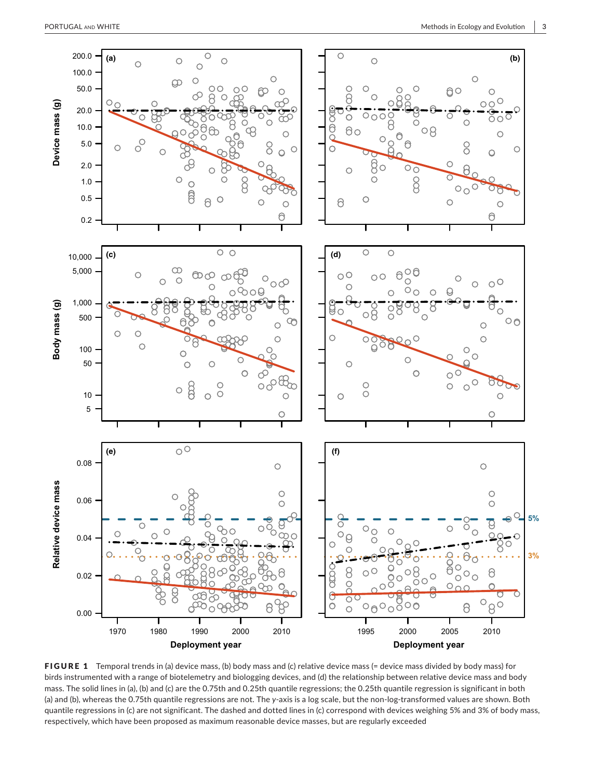

FIGURE 1 Temporal trends in (a) device mass, (b) body mass and (c) relative device mass (= device mass divided by body mass) for birds instrumented with a range of biotelemetry and biologging devices, and (d) the relationship between relative device mass and body mass. The solid lines in (a), (b) and (c) are the 0.75th and 0.25th quantile regressions; the 0.25th quantile regression is significant in both (a) and (b), whereas the 0.75th quantile regressions are not. The *y*-axis is a log scale, but the non-log-transformed values are shown. Both quantile regressions in (c) are not significant. The dashed and dotted lines in (c) correspond with devices weighing 5% and 3% of body mass,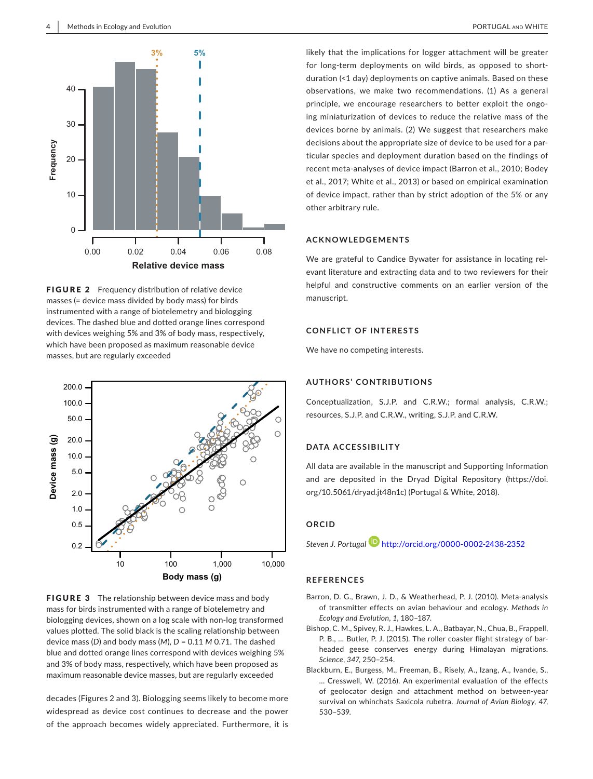





FIGURE 3 The relationship between device mass and body mass for birds instrumented with a range of biotelemetry and biologging devices, shown on a log scale with non-log transformed values plotted. The solid black is the scaling relationship between device mass (*D*) and body mass (*M*), *D* = 0.11 *M* 0.71. The dashed blue and dotted orange lines correspond with devices weighing 5% and 3% of body mass, respectively, which have been proposed as maximum reasonable device masses, but are regularly exceeded

decades (Figures 2 and 3). Biologging seems likely to become more widespread as device cost continues to decrease and the power of the approach becomes widely appreciated. Furthermore, it is likely that the implications for logger attachment will be greater for long-term deployments on wild birds, as opposed to shortduration (<1 day) deployments on captive animals. Based on these observations, we make two recommendations. (1) As a general principle, we encourage researchers to better exploit the ongoing miniaturization of devices to reduce the relative mass of the devices borne by animals. (2) We suggest that researchers make decisions about the appropriate size of device to be used for a particular species and deployment duration based on the findings of recent meta-analyses of device impact (Barron et al., 2010; Bodey et al., 2017; White et al., 2013) or based on empirical examination of device impact, rather than by strict adoption of the 5% or any other arbitrary rule.

#### **ACKNOWLEDGEMENTS**

We are grateful to Candice Bywater for assistance in locating relevant literature and extracting data and to two reviewers for their helpful and constructive comments on an earlier version of the manuscript.

## **CONFLICT OF INTERESTS**

We have no competing interests.

#### **AUTHORS' CONTRIBUTIONS**

Conceptualization, S.J.P. and C.R.W.; formal analysis, C.R.W.; resources, S.J.P. and C.R.W., writing, S.J.P. and C.R.W.

#### **DATA ACCESSIBILITY**

All data are available in the manuscript and Supporting Information and are deposited in the Dryad Digital Repository [\(https://doi.](https://doi.org/10.5061/dryad.jt48n1c) [org/10.5061/dryad.jt48n1c](https://doi.org/10.5061/dryad.jt48n1c)) (Portugal & White, 2018).

# **ORCID**

*Steven J. Portuga[l](http://orcid.org/0000-0002-2438-2352)* <http://orcid.org/0000-0002-2438-2352>

#### **REFERENCES**

- Barron, D. G., Brawn, J. D., & Weatherhead, P. J. (2010). Meta-analysis of transmitter effects on avian behaviour and ecology. *Methods in Ecology and Evolution*, *1*, 180–187.
- Bishop, C. M., Spivey, R. J., Hawkes, L. A., Batbayar, N., Chua, B., Frappell, P. B., … Butler, P. J. (2015). The roller coaster flight strategy of barheaded geese conserves energy during Himalayan migrations. *Science*, *347*, 250–254.
- Blackburn, E., Burgess, M., Freeman, B., Risely, A., Izang, A., Ivande, S., … Cresswell, W. (2016). An experimental evaluation of the effects of geolocator design and attachment method on between-year survival on whinchats Saxicola rubetra. *Journal of Avian Biology*, *47*, 530–539.